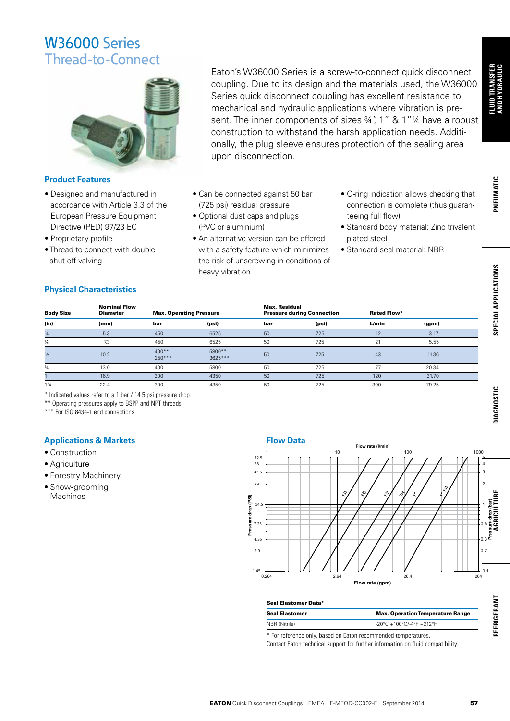

### **Product Features**

- Designed and manufactured in accordance with Article 3.3 of the European Pressure Equipment Directive (PED) 97/23 EC
- Proprietary profile
- Thread-to-connect with double shut-off valving

Eaton's W36000 Series is a screw-to-connect quick disconnect coupling. Due to its design and the materials used, the W36000 Series quick disconnect coupling has excellent resistance to mechanical and hydraulic applications where vibration is present. The inner components of sizes 34", 1" & 1" 14 have a robust construction to withstand the harsh application needs. Additionally, the plug sleeve ensures protection of the sealing area upon disconnection.

- Can be connected against 50 bar (725 psi) residual pressure
- Optional dust caps and plugs (PVC or aluminium)
- An alternative version can be offered with a safety feature which minimizes the risk of unscrewing in conditions of heavy vibration
- O-ring indication allows checking that connection is complete (thus guaranteeing full flow)
- Standard body material: Zinc trivalent plated steel
- Standard seal material: NBR

## **Physical Characteristics**

| <b>Body Size</b> | <b>Nominal Flow</b><br><b>Diameter</b> | <b>Max. Operating Pressure</b> |                     | <b>Max. Residual</b> | <b>Pressure during Connection</b> | <b>Rated Flow*</b> |       |  |
|------------------|----------------------------------------|--------------------------------|---------------------|----------------------|-----------------------------------|--------------------|-------|--|
| (in)             | (mm)                                   | bar                            | (psi)               | bar                  | (psi)                             | L/min              | (gpm) |  |
| $\frac{1}{4}$    | 5.3                                    | 450                            | 6525                | 50                   | 725                               | 12                 | 3.17  |  |
| $\frac{3}{6}$    | 7.3                                    | 450                            | 6525                | 50                   | 725                               | 21                 | 5.55  |  |
| $\frac{1}{2}$    | 10.2                                   | $400**$<br>$250***$            | 5800**<br>$3625***$ | 50                   | 725                               | 43                 | 11.36 |  |
| $\frac{3}{4}$    | 13.0                                   | 400                            | 5800                | 50                   | 725                               | 77                 | 20.34 |  |
|                  | 16.9                                   | 300                            | 4350                | 50                   | 725                               | 120                | 31.70 |  |
| $1\frac{1}{4}$   | 22.4                                   | 300                            | 4350                | 50                   | 725                               | 300                | 79.25 |  |

\* Indicated values refer to a 1 bar / 14.5 psi pressure drop.

\*\* Operating pressures apply to BSPP and NPT threads.

\*\*\* For ISO 8434-1 end connections.

## **Applications & Markets**

- Construction
- Agriculture
- Forestry Machinery
- Snow-grooming **Machines**



| Seal Elastomer Data*                                         |                                                                     |  |  |  |  |  |
|--------------------------------------------------------------|---------------------------------------------------------------------|--|--|--|--|--|
| <b>Seal Elastomer</b>                                        | <b>Max. Operation Temperature Range</b>                             |  |  |  |  |  |
| NBR (Nitrile)                                                | $-20^{\circ}$ C +100 $^{\circ}$ C/-4 $^{\circ}$ F +212 $^{\circ}$ F |  |  |  |  |  |
| * For reference only hased on Eaton recommended temperatures |                                                                     |  |  |  |  |  |

\* For reference only, based on Eaton recommended temperatures.

Contact Eaton technical support for further information on fluid compatibility.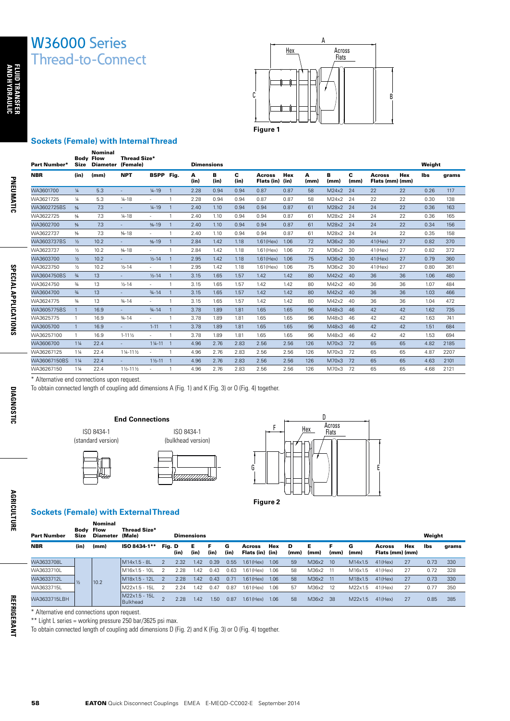

#### **Sockets (Female) with Internal Thread** Nominal

| Part Number* | <b>Size</b>    | <b>Body Flow</b><br><b>Diameter</b> | <b>Thread Size*</b><br>(Female) |                     |                | <b>Dimensions</b> |           |           |                                  |      |           |           |           |                                  |            | Weight |       |
|--------------|----------------|-------------------------------------|---------------------------------|---------------------|----------------|-------------------|-----------|-----------|----------------------------------|------|-----------|-----------|-----------|----------------------------------|------------|--------|-------|
| <b>NBR</b>   | (in)           | (mm)                                | <b>NPT</b>                      | BSPP Fig.           |                | А<br>(in)         | в<br>(in) | c<br>(in) | <b>Across</b><br>Flats (in) (in) | Hex  | A<br>(mm) | в<br>(mm) | c<br>(mm) | <b>Across</b><br>Flats (mm) (mm) | <b>Hex</b> | lbs    | arams |
| WA3601700    | $\frac{1}{4}$  | 5.3                                 |                                 | $1/4 - 19$          | $\mathbf{1}$   | 2.28              | 0.94      | 0.94      | 0.87                             | 0.87 | 58        | M24x2     | 24        | 22                               | 22         | 0.26   | 117   |
| WA3621725    | ¼              | 5.3                                 | $1/4 - 18$                      | $\sim$              | 1              | 2.28              | 0.94      | 0.94      | 0.87                             | 0.87 | 58        | M24x2     | 24        | 22                               | 22         | 0.30   | 138   |
| WA3602725BS  | $\frac{3}{8}$  | 7.3                                 | ÷.                              | $1/4 - 19$          | $\mathbf{1}$   | 2.40              | 1.10      | 0.94      | 0.94                             | 0.87 | 61        | M28x2     | 24        | 24                               | 22         | 0.36   | 163   |
| WA3622725    | $\frac{3}{8}$  | 7.3                                 | $14 - 18$                       | $\sim$              | $\mathbf{1}$   | 2.40              | 1.10      | 0.94      | 0.94                             | 0.87 | 61        | M28x2     | 24        | 24                               | 22         | 0.36   | 165   |
| WA3602700    | $\frac{3}{8}$  | 7.3                                 | $\overline{\phantom{a}}$        | $\frac{3}{8} - 19$  | $\mathbf{1}$   | 2.40              | 1.10      | 0.94      | 0.94                             | 0.87 | 61        | M28x2     | 24        | 24                               | 22         | 0.34   | 156   |
| WA3622737    | $\frac{3}{8}$  | 7.3                                 | $\frac{3}{6} - 18$              | $\sim$              | $\mathbf{1}$   | 2.40              | 1.10      | 0.94      | 0.94                             | 0.87 | 61        | M28x2     | 24        | 24                               | 22         | 0.35   | 158   |
| WA3603737BS  | $\frac{1}{2}$  | 10.2                                | ÷.                              | $\frac{3}{8} - 19$  | $\mathbf{1}$   | 2.84              | 1.42      | 1.18      | $1.61$ (Hex)                     | 1.06 | 72        | M36x2     | 30        | $41$ (Hex)                       | 27         | 0.82   | 370   |
| WA3623737    | $\frac{1}{2}$  | 10.2                                | $\frac{3}{6} - 18$              | $\sim$              | $\mathbf{1}$   | 2.84              | 1.42      | 1.18      | $1.61$ (Hex)                     | 1.06 | 72        | M36x2     | 30        | $41$ (Hex)                       | 27         | 0.82   | 372   |
| WA3603700    | $\frac{1}{2}$  | 10.2                                | ÷.                              | $1/2 - 14$          | $\mathbf{1}$   | 2.95              | 1.42      | 1.18      | $1.61$ (Hex)                     | 1.06 | 75        | M36x2     | 30        | $41$ (Hex)                       | 27         | 0.79   | 360   |
| WA3623750    | $\frac{1}{2}$  | 10.2                                | $1/5 - 14$                      |                     | $\mathbf{1}$   | 2.95              | 1.42      | 1.18      | $1.61$ (Hex)                     | 1.06 | 75        | M36x2     | 30        | $41$ (Hex)                       | 27         | 0.80   | 361   |
| WA3604750BS  | $\frac{3}{4}$  | 13                                  | ÷.                              | $1/2 - 14$          | $\mathbf{1}$   | 3.15              | 1.65      | 1.57      | 1.42                             | 1.42 | 80        | M42x2     | 40        | 36                               | 36         | 1.06   | 480   |
| WA3624750    | $\frac{3}{4}$  | 13                                  | $1/2 - 14$                      | $\sim$              | $\mathbf{1}$   | 3.15              | 1.65      | 1.57      | 1.42                             | 1.42 | 80        | M42x2     | 40        | 36                               | 36         | 1.07   | 484   |
| WA3604700    | $\frac{3}{4}$  | 13                                  | $\overline{\phantom{a}}$        | $3/4 - 14$          | $\mathbf{1}$   | 3.15              | 1.65      | 1.57      | 1.42                             | 1.42 | 80        | M42x2     | 40        | 36                               | 36         | 1.03   | 466   |
| WA3624775    | $\frac{3}{4}$  | 13                                  | $3/4 - 14$                      | $\sim$              | $\mathbf{1}$   | 3.15              | 1.65      | 1.57      | 1.42                             | 1.42 | 80        | M42x2     | 40        | 36                               | 36         | 1.04   | 472   |
| WA3605775BS  | $\mathbf{1}$   | 16.9                                | $\sim$                          | $3/4 - 14$          | $\mathbf{1}$   | 3.78              | 1.89      | 1.81      | 1.65                             | 1.65 | 96        | M48x3     | 46        | 42                               | 42         | 1.62   | 735   |
| WA3625775    | 1              | 16.9                                | $3/4 - 14$                      | $\sim$              | 1              | 3.78              | 1.89      | 1.81      | 1.65                             | 1.65 | 96        | M48x3     | 46        | 42                               | 42         | 1.63   | 741   |
| WA3605700    | $\mathbf{1}$   | 16.9                                | $\overline{\phantom{a}}$        | $1 - 11$            | $\mathbf{1}$   | 3.78              | 1.89      | 1.81      | 1.65                             | 1.65 | 96        | M48x3     | 46        | 42                               | 42         | 1.51   | 684   |
| WA36257100   | 1              | 16.9                                | $1 - 11\frac{1}{2}$             |                     | $\mathbf{1}$   | 3.78              | 1.89      | 1.81      | 1.65                             | 1.65 | 96        | M48x3     | 46        | 42                               | 42         | 1.53   | 694   |
| WA3606700    | $1\frac{1}{4}$ | 22.4                                | $\overline{\phantom{a}}$        | $1\frac{1}{4} - 11$ | $\overline{1}$ | 4.96              | 2.76      | 2.83      | 2.56                             | 2.56 | 126       | M70x3     | 72        | 65                               | 65         | 4.82   | 2185  |
| WA36267125   | $1\frac{1}{4}$ | 22.4                                | 11/4-111/2                      | $\sim$              | $\mathbf{1}$   | 4.96              | 2.76      | 2.83      | 2.56                             | 2.56 | 126       | M70x3     | 72        | 65                               | 65         | 4.87   | 2207  |
| WA36067150BS | $1\frac{1}{4}$ | 22.4                                |                                 | $1\frac{1}{2} - 11$ | $\overline{1}$ | 4.96              | 2.76      | 2.83      | 2.56                             | 2.56 | 126       | M70x3     | 72        | 65                               | 65         | 4.63   | 2101  |
| WA36267150   | $1\frac{1}{4}$ | 22.4                                | 11/2-111/2                      | $\sim$              | $\mathbf{1}$   | 4.96              | 2.76      | 2.83      | 2.56                             | 2.56 | 126       | M70x3     | 72        | 65                               | 65         | 4.68   | 2121  |

\* Alternative end connections upon request.

To obtain connected length of coupling add dimensions A (Fig. 1) and K (Fig. 3) or O (Fig. 4) together.

**AND HYDRAULIC FLUID TRANSFER**

FLUID TRANSFER<br>AND HYDRAULIC

**PNEUMATIC**

PNEUMATIC

**SPECIAL APPLICATIONS**

**SPECIAL APPLICATIONS** 

## **End Connections**

ISO 8434-1 (standard version)





ISO 8434-1



Part Number Body Size Nominal Flow **Diameter** Thread Size\*  $\blacksquare$  Dimensions Weight NBR (in) (mm) ISO 8434-1\*\* Fig. D (in) E (in) F (in) G (in) Across Flats (in) (in) Hex  $\overline{D}$ (mm) E (mm) F (mm) G (mm) Across Flats (mm) (mm) Hex lbs grams WA3633708L  $\frac{1}{2}$  10.2 M14x1.5 - 8L 2 2.32 1.42 0.39 0.55 1.61(Hex) 1.06 59 M36x2 10 M14x1.5 41(Hex) 27 0.73 330 WA3633710L | | | |M16x1.5 - 10L 2 2.28 1.42 0.43 0.63 1.61(Hex) 1.06 58 M36x2 11 M16x1.5 41(Hex) 27 0.72 328 WA3633712L |,, |<sub>19.9</sub> |M18x1.5 - 12L 2 2.28 1.42 0.43 0.71 1.61(Hex) 1.06 58 M36x2 11 M18x1.5 41(Hex) 27 0.73 330 WA3633715L | | | |M22x1.5 - 15L 2 2.24 1.42 0.47 0.87 1.61(Hex) 1.06 57 M36x2 12 M22x1.5 41(Hex) 27 0.77 350 WA3633715LBH M22x1.5 - 15L<br>Bulkhead Bulkhead <sup>2</sup> 2.28 1.42 1.50 0.87 1.61(Hex) 1.06 <sup>58</sup> M36x2 <sup>38</sup> M22x1.5 41(Hex) <sup>27</sup> 0.85 <sup>385</sup>

F

**Figure 2**

D

Hex Across<br>Flats

G E

\* Alternative end connections upon request.

\*\* Light L series = working pressure 250 bar/3625 psi max.

To obtain connected length of coupling add dimensions D (Fig. 2) and K (Fig. 3) or O (Fig. 4) together.

**AGRICULTURE**

**AGRICULTURE**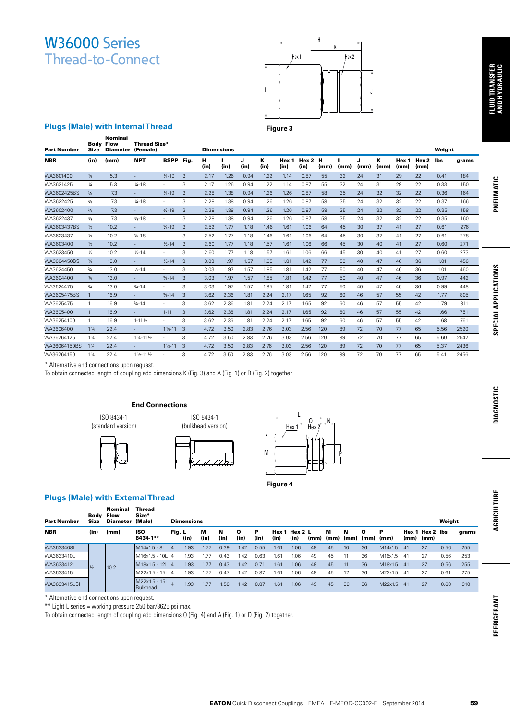

#### **Figure 3**

## **Plugs (Male) with Internal Thread**

|                                                                                                                                                                                                                      |                         |                                                              |                              |                          |                   |                                  |                   |              |              |               |              |              |            |            |              |                    |               |                          |              |              | FLUID TRANSFER<br>And Hydraulic |
|----------------------------------------------------------------------------------------------------------------------------------------------------------------------------------------------------------------------|-------------------------|--------------------------------------------------------------|------------------------------|--------------------------|-------------------|----------------------------------|-------------------|--------------|--------------|---------------|--------------|--------------|------------|------------|--------------|--------------------|---------------|--------------------------|--------------|--------------|---------------------------------|
| <b>Plugs (Male) with Internal Thread</b>                                                                                                                                                                             |                         | <b>Nominal</b>                                               |                              |                          |                   |                                  |                   |              |              | Figure 3      |              |              |            |            |              |                    |               |                          |              |              |                                 |
| Part Number                                                                                                                                                                                                          | Size                    | <b>Body Flow</b><br>Diameter (Female)                        | <b>Thread Size*</b>          |                          |                   |                                  | <b>Dimensions</b> |              |              |               |              |              |            |            |              |                    |               |                          | Weight       |              |                                 |
| NBR                                                                                                                                                                                                                  | (in)                    | (mm)                                                         | <b>NPT</b>                   | <b>BSPP</b> Fig.         |                   | н<br>(in)                        | п<br>(in)         | J<br>(in)    | К<br>(in)    | Hex 1<br>(in) | (in)         | Hex 2 H      | (mm)       | п<br>(mm)  | J<br>(mm)    | К<br>(mm)          | Hex 1<br>(mm) | Hex <sub>2</sub><br>(mm) | lbs          | grams        |                                 |
| WA3601400                                                                                                                                                                                                            | $\frac{1}{4}$           | 5.3                                                          | $\overline{\phantom{a}}$     | $1/4 - 19$               | 3                 | 2.17                             | 1.26              | 0.94         | 1.22         | 1.14          |              | 0.87         | 55         | 32         | 24           | 31                 | 29            | 22                       | 0.41         | 184          |                                 |
| WA3621425<br>WA3602425BS                                                                                                                                                                                             | $\frac{1}{4}$<br>$3/8$  | 5.3<br>7.3                                                   | $1/4 - 18$                   | $\sim$<br>$1/4 - 19$     | 3<br>3            | 2.17<br>2.28                     | 1.26<br>1.38      | 0.94<br>0.94 | 1.22<br>1.26 | 1.14<br>1.26  |              | 0.87<br>0.87 | 55<br>58   | 32<br>35   | 24<br>24     | 31<br>32           | 29<br>32      | 22<br>22                 | 0.33         | 150          | PNEUMATIC                       |
| WA3622425                                                                                                                                                                                                            | $3/8$                   | 7.3                                                          | $1/4 - 18$                   | $\sim$                   | 3                 | 2.28                             | 1.38              | 0.94         | 1.26         | 1.26          |              | 0.87         | 58         | 35         | 24           | 32                 | 32            | 22                       | 0.36<br>0.37 | 164<br>166   |                                 |
| WA3602400                                                                                                                                                                                                            | $3/8$                   | 7.3                                                          | $\overline{\phantom{a}}$     | $% -19$                  | $\mathsf 3$       | 2.28                             | 1.38              | 0.94         | 1.26         | 1.26          |              | 0.87         | 58         | 35         | 24           | 32                 | 32            | 22                       | 0.35         | 158          |                                 |
| WA3622437                                                                                                                                                                                                            | $\frac{3}{8}$           | 7.3                                                          | $% -18$                      |                          | 3                 | 2.28                             | 1.38              | 0.94         | 1.26         | 1.26          |              | 0.87         | 58         | 35         | 24           | 32                 | 32            | 22                       | 0.35         | 160          |                                 |
| WA3603437BS                                                                                                                                                                                                          | $\frac{1}{2}$           | 10.2                                                         | $\bar{a}$                    | $\frac{3}{8} - 19$       | 3                 | 2.52                             | 1.77              | 1.18         | 1.46         | 1.61          |              | 1.06         | 64         | 45         | 30           | 37                 | 41            | 27                       | 0.61         | 276          |                                 |
| WA3623437                                                                                                                                                                                                            | $\frac{1}{2}$           | 10.2                                                         | $% -18$                      | $\sim$                   | 3                 | 2.52                             | 1.77              | 1.18         | 1.46         | 1.61          |              | 1.06         | 64         | 45         | 30           | 37                 | 41            | 27                       | 0.61         | 278          |                                 |
| WA3603400                                                                                                                                                                                                            | $\frac{1}{2}$           | 10.2                                                         | $\overline{\phantom{a}}$     | $1/2 - 14$               | 3                 | 2.60                             | 1.77              | 1.18         | 1.57         | 1.61          |              | 1.06         | 66         | 45         | 30           | 40                 | 41            | 27                       | 0.60         | 271          |                                 |
| WA3623450                                                                                                                                                                                                            | $\frac{1}{2}$           | 10.2                                                         | $1/2 - 14$                   |                          | 3                 | 2.60                             | 1.77              | 1.18         | 1.57         | 1.61          |              | 1.06         | 66         | 45         | 30           | 40                 | 41            | 27                       | 0.60         | 273          |                                 |
| WA3604450BS                                                                                                                                                                                                          | $\frac{3}{4}$           | 13.0                                                         | $\equiv$                     | $1/2 - 14$               | 3                 | 3.03                             | 1.97              | 1.57         | 1.85         | 1.81          |              | 1.42         | 77         | 50         | 40           | 47                 | 46            | 36                       | 1.01         | 456          |                                 |
| WA3624450                                                                                                                                                                                                            | $\frac{3}{4}$           | 13.0                                                         | $1/2 - 14$                   | $\sim$                   | 3                 | 3.03                             | 1.97              | 1.57         | 1.85         | 1.81          |              | 1.42         | 77         | 50         | 40           | 47                 | 46            | 36                       | 1.01         | 460          | <b>SPECIAL APPLICATIONS</b>     |
| WA3604400                                                                                                                                                                                                            | $\frac{3}{4}$           | 13.0                                                         | $\blacksquare$               | $3/4 - 14$               | 3                 | 3.03                             | 1.97              | 1.57         | 1.85         | 1.81          |              | 1.42         | 77         | 50         | 40           | 47                 | 46            | 36                       | 0.97         | 442          |                                 |
| WA3624475                                                                                                                                                                                                            | $\frac{3}{4}$           | 13.0                                                         | $3/4 - 14$                   | $\sim$                   | 3                 | 3.03                             | 1.97              | 1.57         | 1.85         | 1.81          |              | 1.42         | 77         | 50         | 40           | 47                 | 46            | 36                       | 0.99         | 448          |                                 |
| WA3605475BS                                                                                                                                                                                                          | $\mathbf{1}$            | 16.9                                                         | $\sim$                       | $3/4 - 14$               | 3                 | 3.62                             | 2.36              | 1.81         | 2.24         | 2.17          |              | 1.65         | 92         | 60         | 46           | 57                 | 55            | 42                       | 1.77         | 805          |                                 |
| WA3625475                                                                                                                                                                                                            | 1                       | 16.9                                                         | $3/4 - 14$                   | $\bar{ }$                | 3                 | 3.62                             | 2.36              | 1.81         | 2.24         | 2.17          |              | 1.65         | 92         | 60         | 46           | 57                 | 55            | 42                       | 1.79         | 811          |                                 |
| WA3605400                                                                                                                                                                                                            | $\mathbf{1}$            | 16.9                                                         | $\sim$                       | $1 - 11$                 | 3                 | 3.62                             | 2.36              | 1.81         | 2.24         | 2.17          |              | 1.65         | 92         | 60         | 46           | 57                 | 55            | 42                       | 1.66         | 751          |                                 |
| WA36254100                                                                                                                                                                                                           | $\mathbf{1}$            | 16.9                                                         | $1 - 11\frac{1}{2}$          | $\sim$                   | 3                 | 3.62                             | 2.36              | 1.81         | 2.24         | 2.17          |              | 1.65         | 92         | 60         | 46           | 57                 | 55            | 42                       | 1.68         | 761          |                                 |
| WA3606400                                                                                                                                                                                                            | $1\frac{1}{4}$          | 22.4                                                         | $\overline{\phantom{a}}$     | $1\frac{1}{4} - 11$      | 3                 | 4.72                             | 3.50              | 2.83         | 2.76         | 3.03          |              | 2.56         | 120        | 89         | 72           | 70                 | 77            | 65                       | 5.56         | 2520         |                                 |
| WA36264125                                                                                                                                                                                                           | $1\frac{1}{4}$          | 22.4<br>22.4                                                 | 114-111/2<br>÷.              | ٠<br>$1\frac{1}{2} - 11$ | 3<br>$\mathbf{3}$ | 4.72<br>4.72                     | 3.50              | 2.83<br>2.83 | 2.76<br>2.76 | 3.03<br>3.03  |              | 2.56         | 120<br>120 | 89<br>89   | 72<br>72     | 70<br>70           | 77<br>77      | 65<br>65                 | 5.60<br>5.37 | 2542<br>2436 |                                 |
| WA36064150BS<br>WA36264150                                                                                                                                                                                           | $1\frac{1}{4}$<br>1 1/4 | 22.4                                                         | 11/2-111/2                   | $\sim$                   | 3                 | 4.72                             | 3.50<br>3.50      | 2.83         | 2.76         | 3.03          |              | 2.56<br>2.56 | 120        | 89         | 72           | 70                 | 77            | 65                       | 5.41         | 2456         |                                 |
| To obtain connected length of coupling add dimensions K (Fig. 3) and A (Fig. 1) or D (Fig. 2) together.                                                                                                              |                         | ISO 8434-1<br>(standard version)                             | <b>End Connections</b>       |                          |                   | ISO 8434-1<br>(bulkhead version) |                   |              | M            |               | <u>Hex 1</u> | 0<br>Hex 2   | Ν          |            |              |                    |               |                          |              |              | <b>DIAGNOSTIC</b>               |
| <b>Plugs (Male) with External Thread</b><br><b>Part Number</b>                                                                                                                                                       | Size                    | <b>Nominal Thread</b><br><b>Body Flow</b><br>Diameter (Male) | Size*                        |                          | <b>Dimensions</b> |                                  |                   |              |              | Figure 4      |              |              |            |            |              |                    |               |                          | Weight       |              | AGRICULTURE                     |
| NBR                                                                                                                                                                                                                  | (in)                    | (mm)                                                         | <b>ISO</b>                   | Fig. L                   |                   | M                                | N                 | О            | P            | Hex 1 Hex 2 L |              |              | M          | Ν          | $\mathbf{o}$ | P                  |               | Hex 1 Hex 2 Ibs          |              | grams        |                                 |
| WA3633408L                                                                                                                                                                                                           |                         |                                                              | 8434-1**<br>M14x1.5 - 8L 4   |                          | (in)<br>1.93      | (in)                             | (in)<br>0.39      | (in)         | (in)<br>0.55 | (in)          | (in)<br>1.06 | (mm)<br>49   | (mm)<br>45 | (mm)<br>10 | (mm)<br>36   | (mm)               | (mm)<br>41    | (mm)<br>27               | 0.56         | 255          |                                 |
| WA3633410L                                                                                                                                                                                                           |                         |                                                              | M16x1.5 - 10L 4              |                          | 1.93              | 1.77<br>1.77                     | 0.43              | 1.42<br>1.42 | 0.63         | 1.61<br>1.61  | 1.06         | 49           | 45         | 11         | 36           | M14x1.5<br>M16x1.5 | 41            | 27                       | 0.56         | 253          |                                 |
| WA3633412L                                                                                                                                                                                                           |                         |                                                              | M18x1.5 - 12L 4              |                          | 1.93              | 1.77                             | 0.43              | 1.42         | 0.71         | 1.61          | 1.06         | 49           | 45         | 11         | 36           | M18x1.5            | 41            | 27                       | 0.56         | 255          |                                 |
| WA3633415L                                                                                                                                                                                                           | $\frac{1}{2}$           | 10.2                                                         | M22x1.5 - 15L 4              |                          | 1.93              | 1.77                             | 0.47              | 1.42         | 0.87         | 1.61          | 1.06         | 49           | 45         | 12         | 36           | M22x1.5            | 41            | 27                       | 0.61         | 275          |                                 |
|                                                                                                                                                                                                                      |                         |                                                              | $M22x1.5 - 15L$ <sup>4</sup> |                          |                   |                                  |                   |              |              |               |              |              |            |            |              |                    |               |                          |              |              |                                 |
| WA3633415LBH                                                                                                                                                                                                         |                         |                                                              | <b>Bulkhead</b>              |                          | 1.93              | 1.77                             | 1.50              | 1.42         | 0.87         | 1.61          | 1.06         | 49           | 45         | 38         | 36           | M22x1.5 41         |               | 27                       | 0.68         | 310          |                                 |
| * Alternative end connections upon request.<br>** Light L series = working pressure 250 bar/3625 psi max.<br>To obtain connected length of coupling add dimensions O (Fig. 4) and A (Fig. 1) or D (Fig. 2) together. |                         |                                                              |                              |                          |                   |                                  |                   |              |              |               |              |              |            |            |              |                    |               |                          |              |              | REFRIGERANT                     |

#### **End Connections**

ISO 8434-1 (standard version)







### **Plugs (Male) with External Thread**

| <b>Part Number</b> | Bodv<br>Size  | Nominal<br><b>Flow</b><br><b>Diameter</b> | Thread<br>Size*<br>(Male) |              | <b>Dimensions</b> |           |           |                      |           |      |                       |      |           |           |                      |           |     |                                  | Weight |       |
|--------------------|---------------|-------------------------------------------|---------------------------|--------------|-------------------|-----------|-----------|----------------------|-----------|------|-----------------------|------|-----------|-----------|----------------------|-----------|-----|----------------------------------|--------|-------|
| <b>NBR</b>         | (in)          | (mm)                                      | ISO<br>8434-1**           | Fig. L       | (in)              | м<br>(in) | N<br>(in) | $\mathbf{o}$<br>(in) | Р<br>(in) | (in) | Hex 1 Hex 2 L<br>(in) | (mm) | м<br>(mm) | N<br>(mm) | $\mathbf{o}$<br>(mm) | P<br>(mm) |     | Hex 1 Hex 2 lbs<br>$(mm)$ $(mm)$ |        | grams |
| WA3633408L         |               |                                           | M14x1.5 - 8L              | $\mathbf{A}$ | 1.93              | 1.77      | 0.39      | .42                  | 0.55      | 1.61 | 1.06                  | 49   | 45        | 10        | 36                   | M14x1.5   | 41  | 27                               | 0.56   | 255   |
| WA3633410L         |               |                                           | M16x1.5 - 10L 4           |              | 1.93              | ı.77      | 0.43      | .42                  | 0.63      | 1.61 | 1.06                  | 49   | 45        |           | 36                   | M16x1.5   | -41 | 27                               | 0.56   | 253   |
| WA3633412L         | $\frac{1}{2}$ | 10.2                                      | M18x1.5 - 121 4           |              | 1.93              | .77       | 0.43      | .42                  | 0.71      | 1.61 | 1.06                  | 49   | 45        |           | 36                   | M18x1.5   | 41  | 27                               | 0.56   | 255   |
| WA3633415L         |               |                                           | M22x1.5 - 15L 4           |              | 1.93              | 1.77      | 0.47      | '.42                 | 0.87      | 1.61 | 1.06                  | 49   | 45        | 12        | 36                   | M22x1.5   | -41 | 27                               | 0.61   | 275   |
| WA3633415LBH       |               |                                           | M22x1.5 - 15L<br>Bulkhead |              | 1.93              | .77       | 1.50      | 1.42                 | 0.87      | 1.61 | 1.06                  | 49   | 45        | 38        | 36                   | M22x1.5   | 41  | 27                               | 0.68   | 310   |